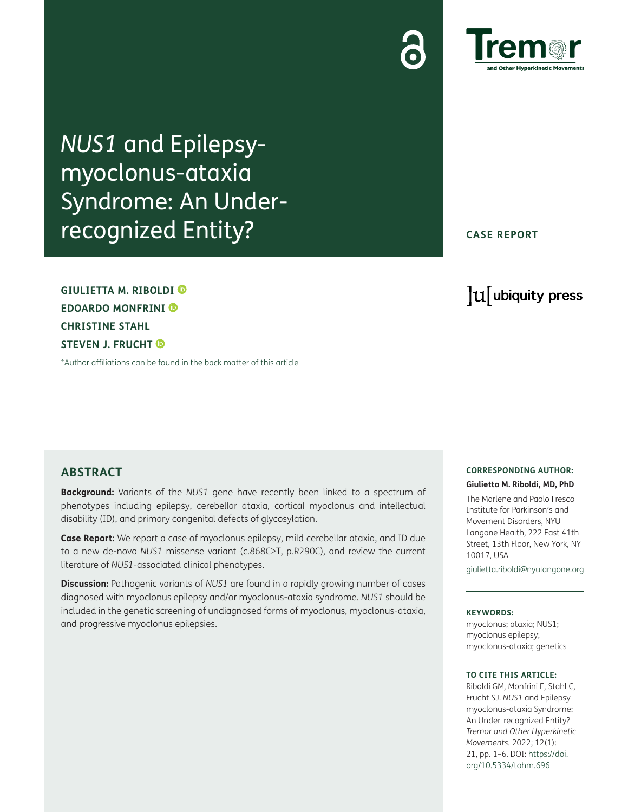

*NUS1* and Epilepsymyoclonus-ataxia Syndrome: An Underrecognized Entity?

**GIULIETTA M. RIBOLDI EDOARDO MONFRINI CHRISTINE STAHL STEVEN J. FRUCHT** 

[\\*Author affiliations can be found in the back matter of this article](#page-4-0)

## **CASE REPORT**

# lu ubiquity press

## **ABSTRACT**

**Background:** Variants of the *NUS1* gene have recently been linked to a spectrum of phenotypes including epilepsy, cerebellar ataxia, cortical myoclonus and intellectual disability (ID), and primary congenital defects of glycosylation.

**Case Report:** We report a case of myoclonus epilepsy, mild cerebellar ataxia, and ID due to a new de-novo *NUS1* missense variant (c.868C>T, p.R290C), and review the current literature of *NUS1*-associated clinical phenotypes.

**Discussion:** Pathogenic variants of *NUS1* are found in a rapidly growing number of cases diagnosed with myoclonus epilepsy and/or myoclonus-ataxia syndrome. *NUS1* should be included in the genetic screening of undiagnosed forms of myoclonus, myoclonus-ataxia, and progressive myoclonus epilepsies.

### **CORRESPONDING AUTHOR: Giulietta M. Riboldi, MD, PhD**

The Marlene and Paolo Fresco Institute for Parkinson's and Movement Disorders, NYU Langone Health, 222 East 41th Street, 13th Floor, New York, NY 10017, USA

[giulietta.riboldi@nyulangone.org](mailto:giulietta.riboldi@nyulangone.org)

#### **KEYWORDS:**

myoclonus; ataxia; NUS1; myoclonus epilepsy; myoclonus-ataxia; genetics

#### **TO CITE THIS ARTICLE:**

Riboldi GM, Monfrini E, Stahl C, Frucht SJ. *NUS1* and Epilepsymyoclonus-ataxia Syndrome: An Under-recognized Entity? *Tremor and Other Hyperkinetic Movements.* 2022; 12(1): 21, pp. 1–6. DOI: [https://doi.](https://doi.org/10.5334/tohm.696) [org/10.5334/tohm.696](https://doi.org/10.5334/tohm.696)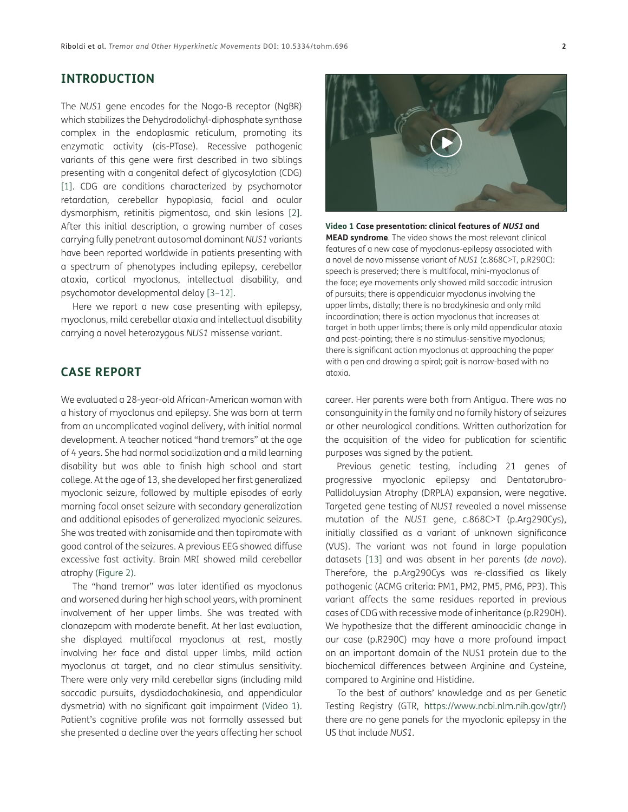# **INTRODUCTION**

The *NUS1* gene encodes for the Nogo-B receptor (NgBR) which stabilizes the Dehydrodolichyl-diphosphate synthase complex in the endoplasmic reticulum, promoting its enzymatic activity (cis-PTase). Recessive pathogenic variants of this gene were first described in two siblings presenting with a congenital defect of glycosylation (CDG) [\[1\]](#page-4-1). CDG are conditions characterized by psychomotor retardation, cerebellar hypoplasia, facial and ocular dysmorphism, retinitis pigmentosa, and skin lesions [\[2\]](#page-4-2). After this initial description, a growing number of cases carrying fully penetrant autosomal dominant *NUS1* variants have been reported worldwide in patients presenting with a spectrum of phenotypes including epilepsy, cerebellar ataxia, cortical myoclonus, intellectual disability, and psychomotor developmental delay [[3](#page-4-3)[–12\]](#page-5-0).

Here we report a new case presenting with epilepsy, myoclonus, mild cerebellar ataxia and intellectual disability carrying a novel heterozygous *NUS1* missense variant.

# **CASE REPORT**

We evaluated a 28-year-old African-American woman with a history of myoclonus and epilepsy. She was born at term from an uncomplicated vaginal delivery, with initial normal development. A teacher noticed "hand tremors" at the age of 4 years. She had normal socialization and a mild learning disability but was able to finish high school and start college. At the age of 13, she developed her first generalized myoclonic seizure, followed by multiple episodes of early morning focal onset seizure with secondary generalization and additional episodes of generalized myoclonic seizures. She was treated with zonisamide and then topiramate with good control of the seizures. A previous EEG showed diffuse excessive fast activity. Brain MRI showed mild cerebellar atrophy ([Figure 2\)](#page-2-0).

The "hand tremor" was later identified as myoclonus and worsened during her high school years, with prominent involvement of her upper limbs. She was treated with clonazepam with moderate benefit. At her last evaluation, she displayed multifocal myoclonus at rest, mostly involving her face and distal upper limbs, mild action myoclonus at target, and no clear stimulus sensitivity. There were only very mild cerebellar signs (including mild saccadic pursuits, dysdiadochokinesia, and appendicular dysmetria) with no significant gait impairment [\(Video 1\)](#page-1-0). Patient's cognitive profile was not formally assessed but she presented a decline over the years affecting her school



<span id="page-1-0"></span>**Video 1 Case presentation: clinical features of NUS1 and MEAD syndrome**. The video shows the most relevant clinical features of a new case of myoclonus-epilepsy associated with a novel de novo missense variant of *NUS1* (c.868C>T, p.R290C): speech is preserved; there is multifocal, mini-myoclonus of the face; eye movements only showed mild saccadic intrusion of pursuits; there is appendicular myoclonus involving the upper limbs, distally; there is no bradykinesia and only mild incoordination; there is action myoclonus that increases at target in both upper limbs; there is only mild appendicular ataxia and past-pointing; there is no stimulus-sensitive myoclonus; there is significant action myoclonus at approaching the paper with a pen and drawing a spiral; gait is narrow-based with no ataxia.

career. Her parents were both from Antigua. There was no consanguinity in the family and no family history of seizures or other neurological conditions. Written authorization for the acquisition of the video for publication for scientific purposes was signed by the patient.

Previous genetic testing, including 21 genes of progressive myoclonic epilepsy and Dentatorubro-Pallidoluysian Atrophy (DRPLA) expansion, were negative. Targeted gene testing of *NUS1* revealed a novel missense mutation of the *NUS1* gene, c.868C>T (p.Arg290Cys), initially classified as a variant of unknown significance (VUS). The variant was not found in large population datasets [\[13\]](#page-5-1) and was absent in her parents (*de novo*). Therefore, the p.Arg290Cys was re-classified as likely pathogenic (ACMG criteria: PM1, PM2, PM5, PM6, PP3). This variant affects the same residues reported in previous cases of CDG with recessive mode of inheritance (p.R290H). We hypothesize that the different aminoacidic change in our case (p.R290C) may have a more profound impact on an important domain of the NUS1 protein due to the biochemical differences between Arginine and Cysteine, compared to Arginine and Histidine.

To the best of authors' knowledge and as per Genetic Testing Registry (GTR, [https://www.ncbi.nlm.nih.gov/gtr/\)](https://www.ncbi.nlm.nih.gov/gtr/) there are no gene panels for the myoclonic epilepsy in the US that include *NUS1.*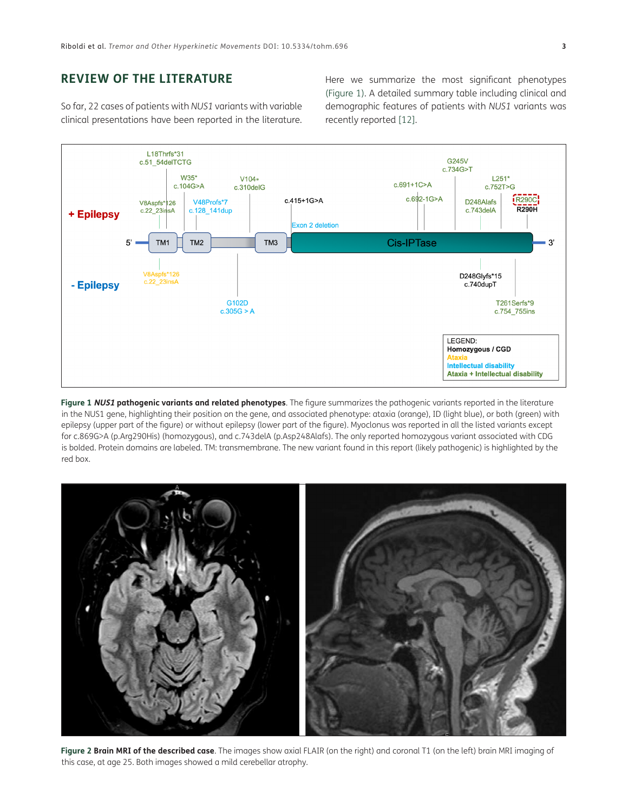# **REVIEW OF THE LITERATURE**

So far, 22 cases of patients with *NUS1* variants with variable clinical presentations have been reported in the literature.

Here we summarize the most significant phenotypes [\(Figure 1](#page-2-1)). A detailed summary table including clinical and demographic features of patients with *NUS1* variants was recently reported [[12\]](#page-5-0).



<span id="page-2-1"></span>**Figure 1 NUS1 pathogenic variants and related phenotypes**. The figure summarizes the pathogenic variants reported in the literature in the NUS1 gene, highlighting their position on the gene, and associated phenotype: ataxia (orange), ID (light blue), or both (green) with epilepsy (upper part of the figure) or without epilepsy (lower part of the figure). Myoclonus was reported in all the listed variants except for c.869G>A (p.Arg290His) (homozygous), and c.743delA (p.Asp248Alafs). The only reported homozygous variant associated with CDG is bolded. Protein domains are labeled. TM: transmembrane. The new variant found in this report (likely pathogenic) is highlighted by the red box.

<span id="page-2-0"></span>

Figure 2 Brain MRI of the described case. The images show axial FLAIR (on the right) and coronal T1 (on the left) brain MRI imaging of this case, at age 25. Both images showed a mild cerebellar atrophy.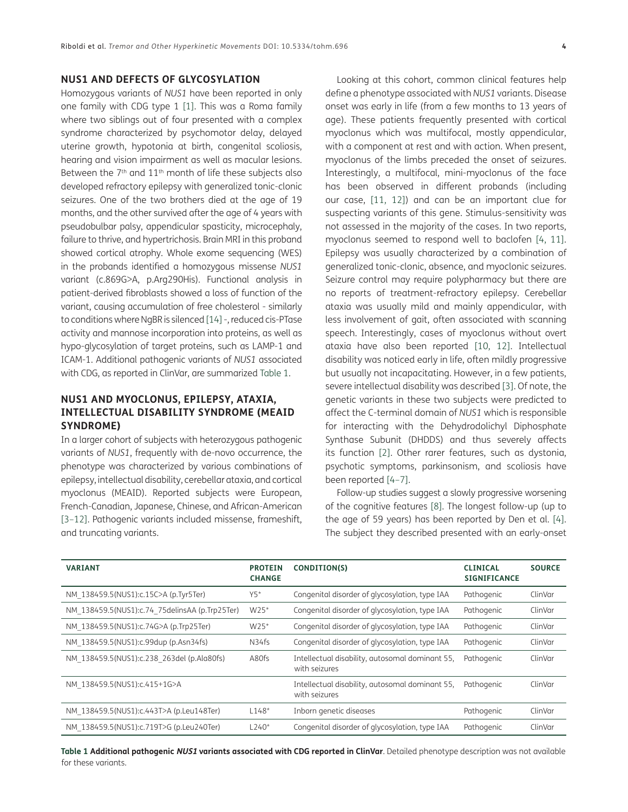## **NUS1 AND DEFECTS OF GLYCOSYLATION**

Homozygous variants of *NUS1* have been reported in only one family with CDG type 1 [\[1](#page-4-1)]. This was a Roma family where two siblings out of four presented with a complex syndrome characterized by psychomotor delay, delayed uterine growth, hypotonia at birth, congenital scoliosis, hearing and vision impairment as well as macular lesions. Between the  $7<sup>th</sup>$  and  $11<sup>th</sup>$  month of life these subjects also developed refractory epilepsy with generalized tonic-clonic seizures. One of the two brothers died at the age of 19 months, and the other survived after the age of 4 years with pseudobulbar palsy, appendicular spasticity, microcephaly, failure to thrive, and hypertrichosis. Brain MRI in this proband showed cortical atrophy. Whole exome sequencing (WES) in the probands identified a homozygous missense *NUS1* variant (c.869G>A, p.Arg290His). Functional analysis in patient-derived fibroblasts showed a loss of function of the variant, causing accumulation of free cholesterol - similarly to conditions where NgBR is silenced [[14\]](#page-5-2) -, reduced cis-PTase activity and mannose incorporation into proteins, as well as hypo-glycosylation of target proteins, such as LAMP-1 and ICAM-1. Additional pathogenic variants of *NUS1* associated with CDG, as reported in ClinVar, are summarized [Table 1](#page-3-0).

## **NUS1 AND MYOCLONUS, EPILEPSY, ATAXIA, INTELLECTUAL DISABILITY SYNDROME (MEAID SYNDROME)**

In a larger cohort of subjects with heterozygous pathogenic variants of *NUS1*, frequently with de-novo occurrence, the phenotype was characterized by various combinations of epilepsy, intellectual disability, cerebellar ataxia, and cortical myoclonus (MEAID). Reported subjects were European, French-Canadian, Japanese, Chinese, and African-American [\[3–](#page-4-3)[12](#page-5-0)]. Pathogenic variants included missense, frameshift, and truncating variants.

Looking at this cohort, common clinical features help define a phenotype associated with *NUS1* variants. Disease onset was early in life (from a few months to 13 years of age). These patients frequently presented with cortical myoclonus which was multifocal, mostly appendicular, with a component at rest and with action. When present, myoclonus of the limbs preceded the onset of seizures. Interestingly, a multifocal, mini-myoclonus of the face has been observed in different probands (including our case, [\[11,](#page-5-3) [12](#page-5-0)]) and can be an important clue for suspecting variants of this gene. Stimulus-sensitivity was not assessed in the majority of the cases. In two reports, myoclonus seemed to respond well to baclofen [[4,](#page-4-4) [11](#page-5-3)]. Epilepsy was usually characterized by a combination of generalized tonic-clonic, absence, and myoclonic seizures. Seizure control may require polypharmacy but there are no reports of treatment-refractory epilepsy. Cerebellar ataxia was usually mild and mainly appendicular, with less involvement of gait, often associated with scanning speech. Interestingly, cases of myoclonus without overt ataxia have also been reported [[10](#page-5-4), [12\]](#page-5-0). Intellectual disability was noticed early in life, often mildly progressive but usually not incapacitating. However, in a few patients, severe intellectual disability was described [[3\]](#page-4-3). Of note, the genetic variants in these two subjects were predicted to affect the C-terminal domain of *NUS1* which is responsible for interacting with the Dehydrodolichyl Diphosphate Synthase Subunit (DHDDS) and thus severely affects its function [\[2\]](#page-4-2). Other rarer features, such as dystonia, psychotic symptoms, parkinsonism, and scoliosis have been reported [\[4](#page-4-4)–[7](#page-5-5)].

Follow-up studies suggest a slowly progressive worsening of the cognitive features [[8](#page-5-6)]. The longest follow-up (up to the age of 59 years) has been reported by Den et al. [\[4](#page-4-4)]. The subject they described presented with an early-onset

| <b>VARIANT</b>                                 | <b>PROTEIN</b><br><b>CHANGE</b> | CONDITION(S)                                                     | <b>CLINICAL</b><br><b>SIGNIFICANCE</b> | <b>SOURCE</b> |
|------------------------------------------------|---------------------------------|------------------------------------------------------------------|----------------------------------------|---------------|
| NM 138459.5(NUS1):c.15C>A (p.Tyr5Ter)          | $Y5*$                           | Congenital disorder of glycosylation, type IAA                   | Pathogenic                             | ClinVar       |
| NM 138459.5(NUS1):c.74 75delinsAA (p.Trp25Ter) | W25*                            | Congenital disorder of glycosylation, type IAA                   | Pathogenic                             | ClinVar       |
| NM 138459.5(NUS1):c.74G>A (p.Trp25Ter)         | W25*                            | Congenital disorder of glycosylation, type IAA                   | Pathogenic                             | ClinVar       |
| NM 138459.5(NUS1):c.99dup (p.Asn34fs)          | N34fs                           | Congenital disorder of glycosylation, type IAA                   | Pathogenic                             | ClinVar       |
| NM 138459.5(NUS1):c.238 263del (p.Ala80fs)     | A80fs                           | Intellectual disability, autosomal dominant 55,<br>with seizures | Pathogenic                             | ClinVar       |
| NM 138459.5(NUS1):c.415+1G>A                   |                                 | Intellectual disability, autosomal dominant 55,<br>with seizures | Pathogenic                             | ClinVar       |
| NM 138459.5(NUS1):c.443T>A (p.Leu148Ter)       | $L148*$                         | Inborn genetic diseases                                          | Pathogenic                             | ClinVar       |
| NM 138459.5(NUS1):c.719T>G (p.Leu240Ter)       | $L240*$                         | Congenital disorder of glycosylation, type IAA                   | Pathogenic                             | ClinVar       |

<span id="page-3-0"></span>**Table 1 Additional pathogenic NUS1 variants associated with CDG reported in ClinVar**. Detailed phenotype description was not available for these variants.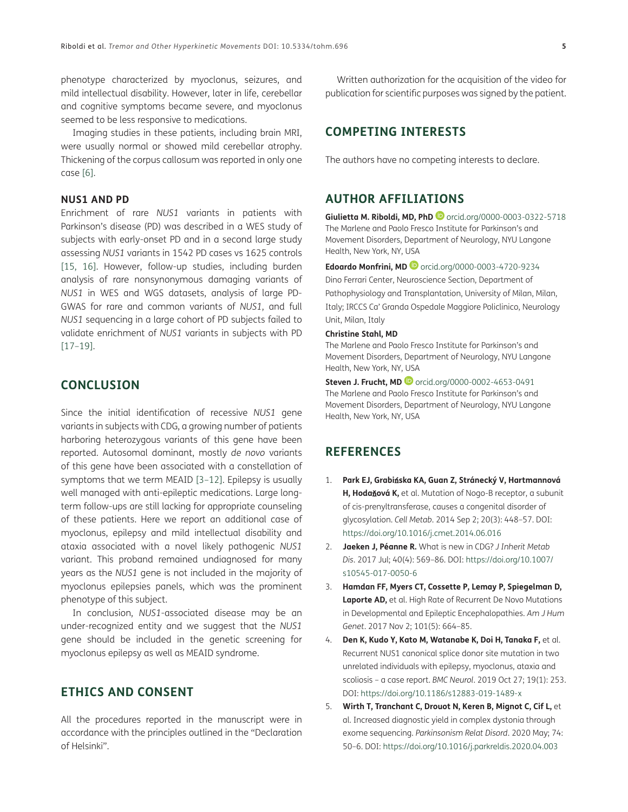phenotype characterized by myoclonus, seizures, and mild intellectual disability. However, later in life, cerebellar and cognitive symptoms became severe, and myoclonus seemed to be less responsive to medications.

Imaging studies in these patients, including brain MRI, were usually normal or showed mild cerebellar atrophy. Thickening of the corpus callosum was reported in only one case [\[6](#page-5-7)].

## **NUS1 AND PD**

Enrichment of rare *NUS1* variants in patients with Parkinson's disease (PD) was described in a WES study of subjects with early-onset PD and in a second large study assessing *NUS1* variants in 1542 PD cases vs 1625 controls [\[15,](#page-5-8) [16\]](#page-5-9). However, follow-up studies, including burden analysis of rare nonsynonymous damaging variants of *NUS1* in WES and WGS datasets, analysis of large PD-GWAS for rare and common variants of *NUS1*, and full *NUS1* sequencing in a large cohort of PD subjects failed to validate enrichment of *NUS1* variants in subjects with PD [\[17](#page-5-10)[–19\]](#page-5-11).

# **CONCLUSION**

Since the initial identification of recessive *NUS1* gene variants in subjects with CDG, a growing number of patients harboring heterozygous variants of this gene have been reported. Autosomal dominant, mostly *de novo* variants of this gene have been associated with a constellation of symptoms that we term MEAID [\[3](#page-4-3)–[12](#page-5-0)]. Epilepsy is usually well managed with anti-epileptic medications. Large longterm follow-ups are still lacking for appropriate counseling of these patients. Here we report an additional case of myoclonus, epilepsy and mild intellectual disability and ataxia associated with a novel likely pathogenic *NUS1* variant. This proband remained undiagnosed for many years as the *NUS1* gene is not included in the majority of myoclonus epilepsies panels, which was the prominent phenotype of this subject.

In conclusion, *NUS1*-associated disease may be an under-recognized entity and we suggest that the *NUS1* gene should be included in the genetic screening for myoclonus epilepsy as well as MEAID syndrome.

# **ETHICS AND CONSENT**

All the procedures reported in the manuscript were in accordance with the principles outlined in the "Declaration of Helsinki".

Written authorization for the acquisition of the video for publication for scientific purposes was signed by the patient.

# **COMPETING INTERESTS**

The authors have no competing interests to declare.

# <span id="page-4-0"></span>**AUTHOR AFFILIATIONS**

**Giulietta M. Riboldi, MD, PhD** [orcid.org/0000-0003-0322-5718](https://orcid.org/0000-0003-0322-5718) The Marlene and Paolo Fresco Institute for Parkinson's and Movement Disorders, Department of Neurology, NYU Langone Health, New York, NY, USA

**Edoardo Monfrini, MD**[orcid.org/0000-0003-4720-9234](https://orcid.org/0000-0003-4720-9234) Dino Ferrari Center, Neuroscience Section, Department of Pathophysiology and Transplantation, University of Milan, Milan, Italy; IRCCS Ca' Granda Ospedale Maggiore Policlinico, Neurology Unit, Milan, Italy

#### **Christine Stahl, MD**

The Marlene and Paolo Fresco Institute for Parkinson's and Movement Disorders, Department of Neurology, NYU Langone Health, New York, NY, USA

**Steven J. Frucht, MD**[orcid.org/0000-0002-4653-0491](https://orcid.org/0000-0002-4653-0491) The Marlene and Paolo Fresco Institute for Parkinson's and Movement Disorders, Department of Neurology, NYU Langone Health, New York, NY, USA

## **REFERENCES**

- <span id="page-4-1"></span>1. **Park EJ, Grabi**ń**ska KA, Guan Z, Stránecký V, Hartmannová H, Hoda**ň**ová K,** et al. Mutation of Nogo-B receptor, a subunit of cis-prenyltransferase, causes a congenital disorder of glycosylation. *Cell Metab*. 2014 Sep 2; 20(3): 448–57. DOI: <https://doi.org/10.1016/j.cmet.2014.06.016>
- <span id="page-4-2"></span>2. **Jaeken J, Péanne R.** What is new in CDG? *J Inherit Metab Dis*. 2017 Jul; 40(4): 569–86. DOI: [https://doi.org/10.1007/](https://doi.org/10.1007/s10545-017-0050-6) [s10545-017-0050-6](https://doi.org/10.1007/s10545-017-0050-6)
- <span id="page-4-3"></span>3. **Hamdan FF, Myers CT, Cossette P, Lemay P, Spiegelman D, Laporte AD,** et al. High Rate of Recurrent De Novo Mutations in Developmental and Epileptic Encephalopathies. *Am J Hum Genet*. 2017 Nov 2; 101(5): 664–85.
- <span id="page-4-4"></span>4. **Den K, Kudo Y, Kato M, Watanabe K, Doi H, Tanaka F,** et al. Recurrent NUS1 canonical splice donor site mutation in two unrelated individuals with epilepsy, myoclonus, ataxia and scoliosis – a case report. *BMC Neurol*. 2019 Oct 27; 19(1): 253. DOI: <https://doi.org/10.1186/s12883-019-1489-x>
- 5. **Wirth T, Tranchant C, Drouot N, Keren B, Mignot C, Cif L,** et al. Increased diagnostic yield in complex dystonia through exome sequencing. *Parkinsonism Relat Disord*. 2020 May; 74: 50–6. DOI: <https://doi.org/10.1016/j.parkreldis.2020.04.003>